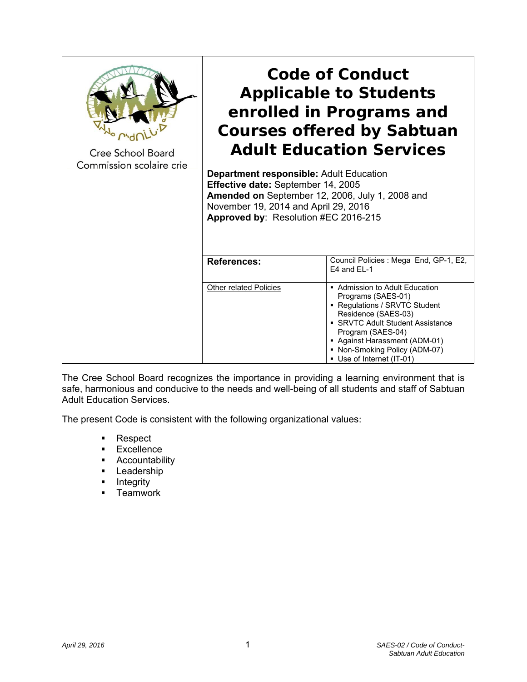| Cree School Board<br>Commission scolaire crie | <b>Code of Conduct</b><br><b>Applicable to Students</b><br>enrolled in Programs and<br><b>Courses offered by Sabtuan</b><br><b>Adult Education Services</b>                                                             |                                                                                                                                                                                                                                                                    |
|-----------------------------------------------|-------------------------------------------------------------------------------------------------------------------------------------------------------------------------------------------------------------------------|--------------------------------------------------------------------------------------------------------------------------------------------------------------------------------------------------------------------------------------------------------------------|
|                                               | <b>Department responsible: Adult Education</b><br>Effective date: September 14, 2005<br>Amended on September 12, 2006, July 1, 2008 and<br>November 19, 2014 and April 29, 2016<br>Approved by: Resolution #EC 2016-215 |                                                                                                                                                                                                                                                                    |
|                                               | <b>References:</b>                                                                                                                                                                                                      | Council Policies : Mega End, GP-1, E2,<br>E4 and EL-1                                                                                                                                                                                                              |
|                                               | <b>Other related Policies</b>                                                                                                                                                                                           | ■ Admission to Adult Education<br>Programs (SAES-01)<br>• Regulations / SRVTC Student<br>Residence (SAES-03)<br>• SRVTC Adult Student Assistance<br>Program (SAES-04)<br>• Against Harassment (ADM-01)<br>• Non-Smoking Policy (ADM-07)<br>Use of Internet (IT-01) |

The Cree School Board recognizes the importance in providing a learning environment that is safe, harmonious and conducive to the needs and well-being of all students and staff of Sabtuan Adult Education Services.

The present Code is consistent with the following organizational values:

- **Respect**
- **Excellence**
- **Accountability**
- **-** Leadership
- **-** Integrity
- **Teamwork**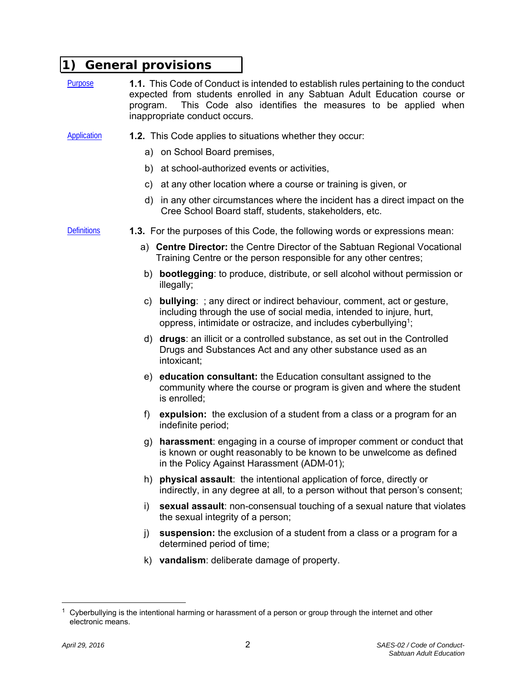## **1) General provisions**

- Purpose **1.1.** This Code of Conduct is intended to establish rules pertaining to the conduct expected from students enrolled in any Sabtuan Adult Education course or program. This Code also identifies the measures to be applied when inappropriate conduct occurs.
- Application **1.2.** This Code applies to situations whether they occur:
	- a) on School Board premises,
	- b) at school-authorized events or activities,
	- c) at any other location where a course or training is given, or
	- d) in any other circumstances where the incident has a direct impact on the Cree School Board staff, students, stakeholders, etc.

- Definitions **1.3.** For the purposes of this Code, the following words or expressions mean:
	- a) **Centre Director:** the Centre Director of the Sabtuan Regional Vocational Training Centre or the person responsible for any other centres;
	- b) **bootlegging**: to produce, distribute, or sell alcohol without permission or illegally;
	- c) **bullying**: ; any direct or indirect behaviour, comment, act or gesture, including through the use of social media, intended to injure, hurt, oppress, intimidate or ostracize, and includes cyberbullying<sup>1</sup>;
	- d) **drugs**: an illicit or a controlled substance, as set out in the Controlled Drugs and Substances Act and any other substance used as an intoxicant;
	- e) **education consultant:** the Education consultant assigned to the community where the course or program is given and where the student is enrolled;
	- f) **expulsion:** the exclusion of a student from a class or a program for an indefinite period;
	- g) **harassment**: engaging in a course of improper comment or conduct that is known or ought reasonably to be known to be unwelcome as defined in the Policy Against Harassment (ADM-01);
	- h) **physical assault**: the intentional application of force, directly or indirectly, in any degree at all, to a person without that person's consent;
	- i) **sexual assault**: non-consensual touching of a sexual nature that violates the sexual integrity of a person;
	- j) **suspension:** the exclusion of a student from a class or a program for a determined period of time;
	- k) **vandalism**: deliberate damage of property.

Cyberbullying is the intentional harming or harassment of a person or group through the internet and other electronic means.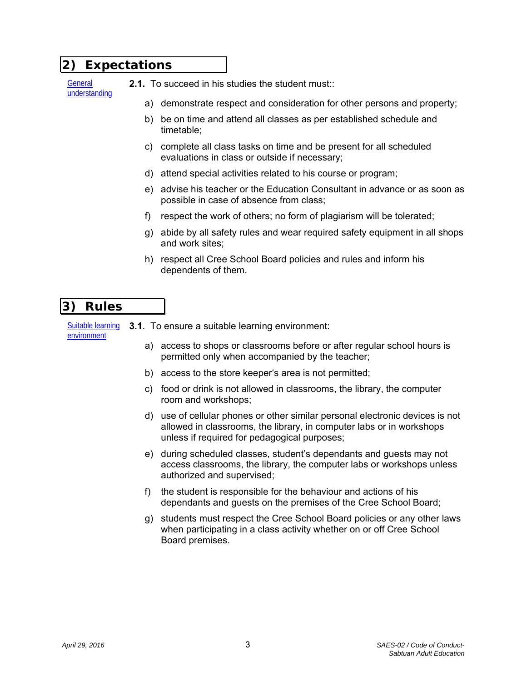#### **2) Expectations**

**General** understanding

- **2.1.** To succeed in his studies the student must::
	- a) demonstrate respect and consideration for other persons and property;
	- b) be on time and attend all classes as per established schedule and timetable;
	- c) complete all class tasks on time and be present for all scheduled evaluations in class or outside if necessary;
	- d) attend special activities related to his course or program;
	- e) advise his teacher or the Education Consultant in advance or as soon as possible in case of absence from class;
	- f) respect the work of others; no form of plagiarism will be tolerated;
	- g) abide by all safety rules and wear required safety equipment in all shops and work sites;
	- h) respect all Cree School Board policies and rules and inform his dependents of them.

# **3) Rules**

Suitable learning environment **3.1**. To ensure a suitable learning environment:

- a) access to shops or classrooms before or after regular school hours is permitted only when accompanied by the teacher;
- b) access to the store keeper's area is not permitted;
- c) food or drink is not allowed in classrooms, the library, the computer room and workshops;
- d) use of cellular phones or other similar personal electronic devices is not allowed in classrooms, the library, in computer labs or in workshops unless if required for pedagogical purposes;
- e) during scheduled classes, student's dependants and guests may not access classrooms, the library, the computer labs or workshops unless authorized and supervised;
- f) the student is responsible for the behaviour and actions of his dependants and guests on the premises of the Cree School Board;
- g) students must respect the Cree School Board policies or any other laws when participating in a class activity whether on or off Cree School Board premises.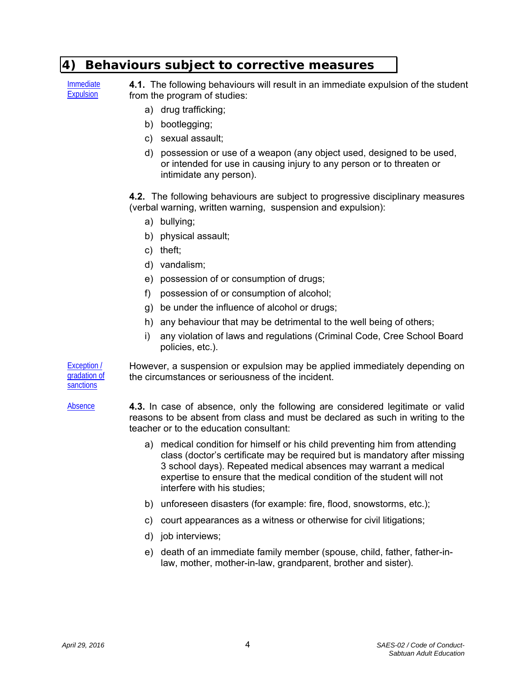### **4) Behaviours subject to corrective measures**

Immediate Expulsion

**4.1.** The following behaviours will result in an immediate expulsion of the student from the program of studies:

- a) drug trafficking;
- b) bootlegging;
- c) sexual assault;
- d) possession or use of a weapon (any object used, designed to be used, or intended for use in causing injury to any person or to threaten or intimidate any person).

**4.2.** The following behaviours are subject to progressive disciplinary measures (verbal warning, written warning, suspension and expulsion):

- a) bullying;
- b) physical assault;
- c) theft;
- d) vandalism;
- e) possession of or consumption of drugs;
- f) possession of or consumption of alcohol;
- g) be under the influence of alcohol or drugs;
- h) any behaviour that may be detrimental to the well being of others;
- i) any violation of laws and regulations (Criminal Code, Cree School Board policies, etc.).

Exception / gradation of **sanctions** However, a suspension or expulsion may be applied immediately depending on the circumstances or seriousness of the incident.

- Absence **4.3.** In case of absence, only the following are considered legitimate or valid reasons to be absent from class and must be declared as such in writing to the teacher or to the education consultant:
	- a) medical condition for himself or his child preventing him from attending class (doctor's certificate may be required but is mandatory after missing 3 school days). Repeated medical absences may warrant a medical expertise to ensure that the medical condition of the student will not interfere with his studies;
	- b) unforeseen disasters (for example: fire, flood, snowstorms, etc.);
	- c) court appearances as a witness or otherwise for civil litigations;
	- d) job interviews;
	- e) death of an immediate family member (spouse, child, father, father-inlaw, mother, mother-in-law, grandparent, brother and sister).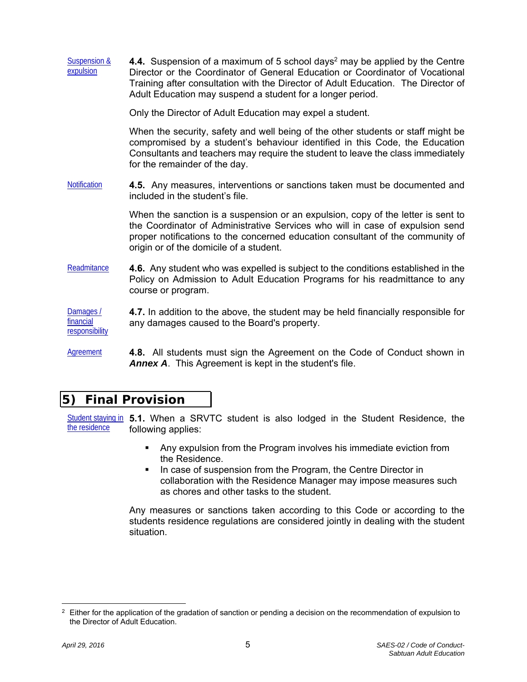| <b>Suspension &amp;</b><br>expulsion     | 4.4. Suspension of a maximum of 5 school days <sup>2</sup> may be applied by the Centre<br>Director or the Coordinator of General Education or Coordinator of Vocational<br>Training after consultation with the Director of Adult Education. The Director of<br>Adult Education may suspend a student for a longer period. |
|------------------------------------------|-----------------------------------------------------------------------------------------------------------------------------------------------------------------------------------------------------------------------------------------------------------------------------------------------------------------------------|
|                                          | Only the Director of Adult Education may expel a student.                                                                                                                                                                                                                                                                   |
|                                          | When the security, safety and well being of the other students or staff might be<br>compromised by a student's behaviour identified in this Code, the Education<br>Consultants and teachers may require the student to leave the class immediately<br>for the remainder of the day.                                         |
| <b>Notification</b>                      | 4.5. Any measures, interventions or sanctions taken must be documented and<br>included in the student's file.                                                                                                                                                                                                               |
|                                          | When the sanction is a suspension or an expulsion, copy of the letter is sent to<br>the Coordinator of Administrative Services who will in case of expulsion send<br>proper notifications to the concerned education consultant of the community of<br>origin or of the domicile of a student.                              |
| Readmitance                              | 4.6. Any student who was expelled is subject to the conditions established in the<br>Policy on Admission to Adult Education Programs for his readmittance to any<br>course or program.                                                                                                                                      |
| Damages /<br>financial<br>responsibility | 4.7. In addition to the above, the student may be held financially responsible for<br>any damages caused to the Board's property.                                                                                                                                                                                           |

Agreement **4.8.** All students must sign the Agreement on the Code of Conduct shown in *Annex A*. This Agreement is kept in the student's file.

# **5) Final Provision**

Student staying in 5.1. When a SRVTC student is also lodged in the Student Residence, the the residence following applies:

- Any expulsion from the Program involves his immediate eviction from the Residence.
- In case of suspension from the Program, the Centre Director in collaboration with the Residence Manager may impose measures such as chores and other tasks to the student.

Any measures or sanctions taken according to this Code or according to the students residence regulations are considered jointly in dealing with the student situation.

 $2$  Either for the application of the gradation of sanction or pending a decision on the recommendation of expulsion to the Director of Adult Education.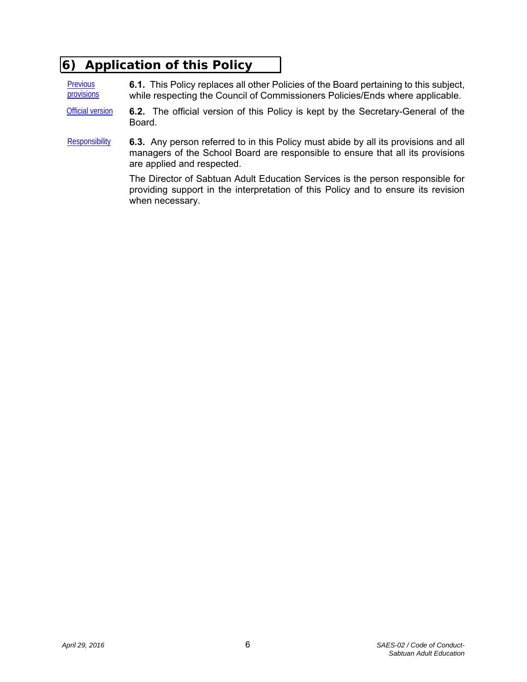# **6) Application of this Policy**

**Previous provisions 6.1.** This Policy replaces all other Policies of the Board pertaining to this subject, while respecting the Council of Commissioners Policies/Ends where applicable.

- Official version **6.2.** The official version of this Policy is kept by the Secretary-General of the Board.
- Responsibility **6.3.** Any person referred to in this Policy must abide by all its provisions and all managers of the School Board are responsible to ensure that all its provisions are applied and respected.

The Director of Sabtuan Adult Education Services is the person responsible for providing support in the interpretation of this Policy and to ensure its revision when necessary.